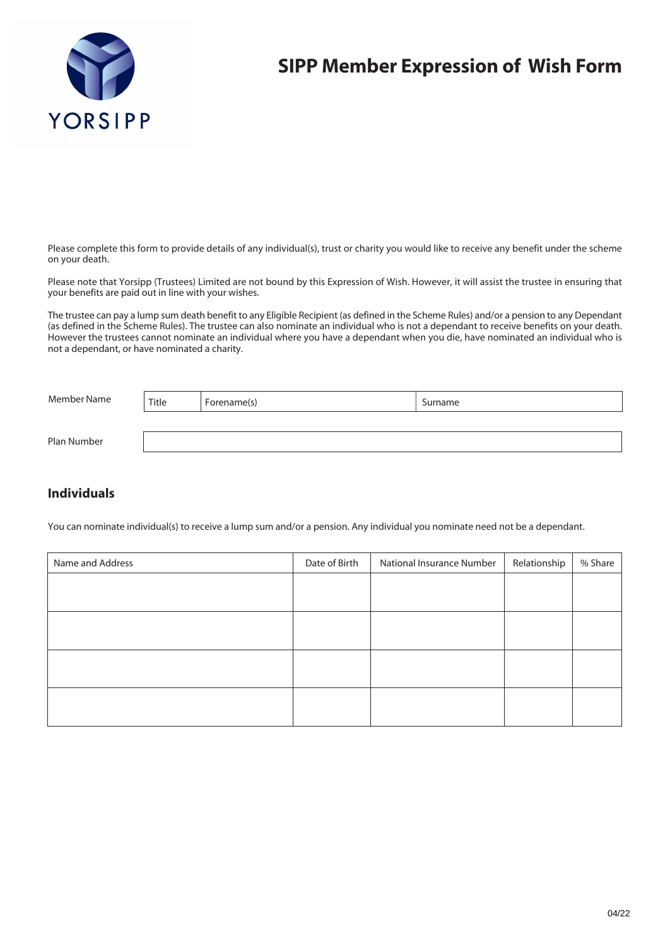

## **SIPP Member Expression of Wish Form**

Please complete this form to provide details of any individual(s), trust or charity you would like to receive any benefit under the scheme on your death.

Please note that Yorsipp (Trustees) Limited are not bound by this Expression of Wish. However, it will assist the trustee in ensuring that your benefits are paid out in line with your wishes.

The trustee can pay a lump sum death benefit to any Eligible Recipient (as defined in the Scheme Rules) and/or a pension to any Dependant (as defined in the Scheme Rules). The trustee can also nominate an individual who is not a dependant to receive benefits on your death. However the trustees cannot nominate an individual where you have a dependant when you die, have nominated an individual who is not a dependant, or have nominated a charity.

| Member Name | Title | Forename(s) | Surname |
|-------------|-------|-------------|---------|
|             |       |             |         |
| Plan Number |       |             |         |

## **Individuals**

You can nominate individual(s) to receive a lump sum and/or a pension. Any individual you nominate need not be a dependant.

| Date of Birth | National Insurance Number | Relationship | % Share |
|---------------|---------------------------|--------------|---------|
|               |                           |              |         |
|               |                           |              |         |
|               |                           |              |         |
|               |                           |              |         |
|               |                           |              |         |
|               |                           |              |         |
|               |                           |              |         |
|               |                           |              |         |
|               |                           |              |         |